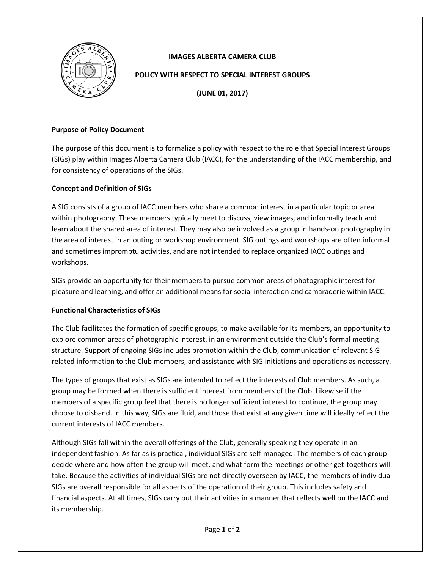

## **IMAGES ALBERTA CAMERA CLUB**

#### **POLICY WITH RESPECT TO SPECIAL INTEREST GROUPS**

**(JUNE 01, 2017)**

#### **Purpose of Policy Document**

The purpose of this document is to formalize a policy with respect to the role that Special Interest Groups (SIGs) play within Images Alberta Camera Club (IACC), for the understanding of the IACC membership, and for consistency of operations of the SIGs.

### **Concept and Definition of SIGs**

A SIG consists of a group of IACC members who share a common interest in a particular topic or area within photography. These members typically meet to discuss, view images, and informally teach and learn about the shared area of interest. They may also be involved as a group in hands-on photography in the area of interest in an outing or workshop environment. SIG outings and workshops are often informal and sometimes impromptu activities, and are not intended to replace organized IACC outings and workshops.

SIGs provide an opportunity for their members to pursue common areas of photographic interest for pleasure and learning, and offer an additional means for social interaction and camaraderie within IACC.

### **Functional Characteristics of SIGs**

The Club facilitates the formation of specific groups, to make available for its members, an opportunity to explore common areas of photographic interest, in an environment outside the Club's formal meeting structure. Support of ongoing SIGs includes promotion within the Club, communication of relevant SIGrelated information to the Club members, and assistance with SIG initiations and operations as necessary.

The types of groups that exist as SIGs are intended to reflect the interests of Club members. As such, a group may be formed when there is sufficient interest from members of the Club. Likewise if the members of a specific group feel that there is no longer sufficient interest to continue, the group may choose to disband. In this way, SIGs are fluid, and those that exist at any given time will ideally reflect the current interests of IACC members.

Although SIGs fall within the overall offerings of the Club, generally speaking they operate in an independent fashion. As far as is practical, individual SIGs are self-managed. The members of each group decide where and how often the group will meet, and what form the meetings or other get-togethers will take. Because the activities of individual SIGs are not directly overseen by IACC, the members of individual SIGs are overall responsible for all aspects of the operation of their group. This includes safety and financial aspects. At all times, SIGs carry out their activities in a manner that reflects well on the IACC and its membership.